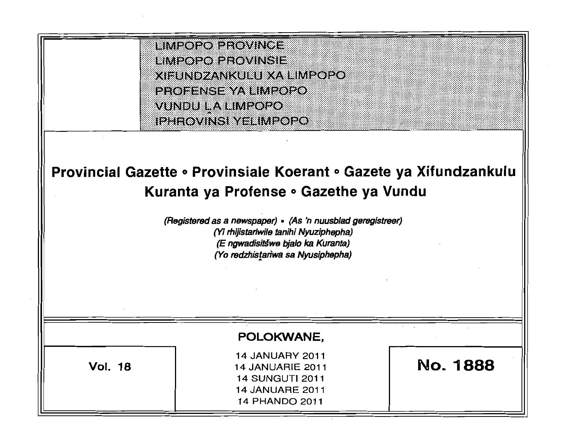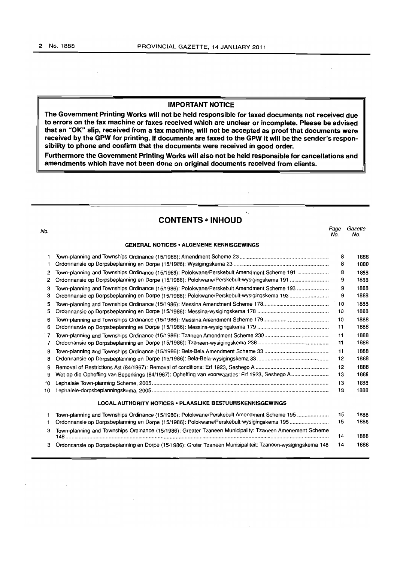# **IMPORTANT NOTICE**

**The Government Printing Works will not be held responsible for faxed documents not received due to errors on the fax machine or faxes received which are unclear or incomplete. Please be advised that an "OK" slip, received from a fax machine, will not be accepted as proof that documents were received by the GPW for printing. If documents are faxed to the GPW it will be the sender's responsibility to phone and confirm that the documents were received in good order.** 

**Furthermore the Government Printing Works will also not be held responsible for cancellations and amendments which have not been done on original documents received from clients.** 

No. Page Gazette

# **CONTENTS • INHOUD**

÷.

No. No.

| <b>GENERAL NOTICES • ALGEMENE KENNISGEWINGS</b> |                                                                                               |     |      |  |
|-------------------------------------------------|-----------------------------------------------------------------------------------------------|-----|------|--|
| 1                                               |                                                                                               | 8   | 1888 |  |
| 1                                               |                                                                                               | 8   | 1888 |  |
| 2                                               | Town-planning and Townships Ordinance (15/1986): Polokwane/Perskebult Amendment Scheme 191    | 8   | 1888 |  |
| 2                                               | Ordonnansie op Dorpsbeplanning en Dorpe (15/1986): Polokwane/Perskebult-wysigingskema 191     | 9   | 1888 |  |
| 3                                               | Town-planning and Townships Ordinance (15/1986): Polokwane/Perskebult Amendment Scheme 193    | 9   | 1888 |  |
| з                                               | Ordonnansie op Dorpsbeplanning en Dorpe (15/1986): Polokwane/Perskebult-wysigingskema 193     | 9   | 1888 |  |
| 5                                               |                                                                                               | 10  | 1888 |  |
| 5                                               |                                                                                               | 10  | 1888 |  |
| 6                                               |                                                                                               | 10  | 1888 |  |
| 6                                               |                                                                                               | 11  | 1888 |  |
| 7                                               |                                                                                               | 11  | 1888 |  |
| 7                                               |                                                                                               | 11  | 1888 |  |
| 8                                               |                                                                                               | 11  | 1888 |  |
| 8                                               |                                                                                               | 12  | 1888 |  |
| 9                                               |                                                                                               | 12  | 1888 |  |
| 9                                               | Wet op die Opheffing van Beperkings (84/1967): Opheffing van voorwaardes: Erf 1923, Seshego A | 13  | 1888 |  |
| 10                                              |                                                                                               | 13  | 1888 |  |
| 10                                              |                                                                                               | 13  | 1888 |  |
|                                                 | <b>LOCAL AUTHORITY NOTICES • PLAASLIKE BESTUURSKENNISGEWINGS</b>                              |     |      |  |
|                                                 | Town-planning and Townships Ordinance (15/1986): Polokwane/Perskebult Amendment Scheme 195    | 15  | 1888 |  |
|                                                 | Ordonnansie op Dorpsbeplanning en Dorpe (15/1986): Polokwane/Perskebult-wysigingskema 195     | .15 | 1888 |  |

| $\sim$ or communities of European ming on Europe (10/1000). Foreintation enchologically ingentental recommunities and | $\sim$ |
|-----------------------------------------------------------------------------------------------------------------------|--------|
| 3 Town-planning and Townships Ordinance (15/1986): Greater Tzaneen Municipality: Tzaneen Amenement Scheme             |        |
|                                                                                                                       | 1888   |
| 3 Ordonnansie op Dorpsbeplanning en Dorpe (15/1986): Groter Tzaneen Munisipaliteit: Tzaneen-wysigingskema 148         | 1888   |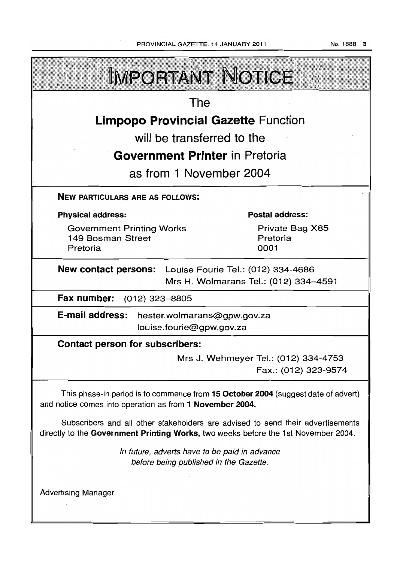| <b>IMPORTANT NOTICE</b>                                                                                                                                               |  |  |  |  |
|-----------------------------------------------------------------------------------------------------------------------------------------------------------------------|--|--|--|--|
| The                                                                                                                                                                   |  |  |  |  |
| <b>Limpopo Provincial Gazette Function</b>                                                                                                                            |  |  |  |  |
| will be transferred to the                                                                                                                                            |  |  |  |  |
| <b>Government Printer in Pretoria</b>                                                                                                                                 |  |  |  |  |
| as from 1 November 2004                                                                                                                                               |  |  |  |  |
| <b>NEW PARTICULARS ARE AS FOLLOWS:</b>                                                                                                                                |  |  |  |  |
| <b>Postal address:</b><br><b>Physical address:</b>                                                                                                                    |  |  |  |  |
| <b>Government Printing Works</b><br>Private Bag X85<br>149 Bosman Street<br>Pretoria<br>Pretoria<br>0001                                                              |  |  |  |  |
| New contact persons: Louise Fourie Tel.: (012) 334-4686<br>Mrs H. Wolmarans Tel.: (012) 334-4591                                                                      |  |  |  |  |
| Fax number: (012) 323-8805                                                                                                                                            |  |  |  |  |
| E-mail address: hester.wolmarans@gpw.gov.za<br>louise.fourie@gpw.gov.za                                                                                               |  |  |  |  |
| <b>Contact person for subscribers:</b>                                                                                                                                |  |  |  |  |
| Mrs J. Wehmeyer Tel.: (012) 334-4753<br>Fax.: (012) 323-9574                                                                                                          |  |  |  |  |
| This phase-in period is to commence from 15 October 2004 (suggest date of advert)<br>and notice comes into operation as from 1 November 2004.                         |  |  |  |  |
| Subscribers and all other stakeholders are advised to send their advertisements<br>directly to the Government Printing Works, two weeks before the 1st November 2004. |  |  |  |  |
| In future, adverts have to be paid in advance<br>before being published in the Gazette.                                                                               |  |  |  |  |
| <b>Advertising Manager</b>                                                                                                                                            |  |  |  |  |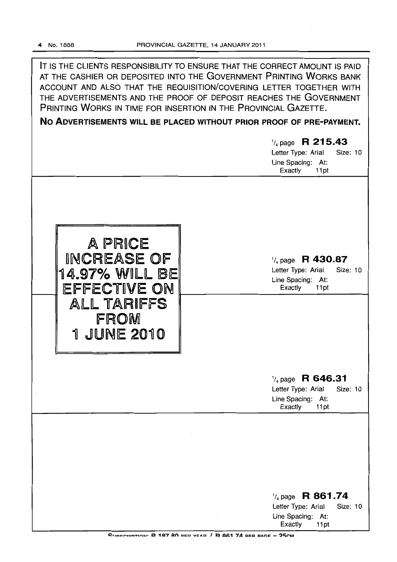IT IS THE CLIENTS RESPONSIBILITY TO ENSURE THAT THE CORRECT AMOUNT IS PAID AT THE CASHIER OR DEPOSITED INTO THE GOVERNMENT PRINTING WORKS BANK ACCOUNT AND ALSO THAT THE REQUISITION/COVERING LETTER TOGETHER WITH THE ADVERTISEMENTS AND THE PROOF OF DEPOSIT REACHES THE GOVERNMENT PRINTING WORKS IN TIME FOR INSERTION IN THE PROVINCIAL GAZETTE.

**No ADVERTISEMENTS** WILL **BE PLACED WITHOUT PRIOR PROOF OF PRE-PAYMENT.** 

|                             | $\frac{1}{4}$ page R 215.43<br>Letter Type: Arial<br>Size: 10 |  |
|-----------------------------|---------------------------------------------------------------|--|
|                             | Line Spacing: At:<br>Exactly<br>11pt                          |  |
|                             |                                                               |  |
|                             |                                                               |  |
| A PRICE                     |                                                               |  |
| INCREASE OF                 | $\frac{1}{4}$ page R 430.87                                   |  |
| 14.97% WILL BE              | Letter Type: Arial<br>Size: 10<br>Line Spacing: At:           |  |
| EFFECTIVE ON<br>ALL TARIFFS | Exactly<br>11pt                                               |  |
| FROM                        |                                                               |  |
| <b>1 JUNE 2010</b>          |                                                               |  |
|                             |                                                               |  |
|                             |                                                               |  |
|                             | $\frac{1}{4}$ page R 646.31<br>Letter Type: Arial<br>Size: 10 |  |
|                             | Line Spacing: At:<br>Exactly<br>11pt                          |  |
|                             |                                                               |  |
|                             |                                                               |  |
|                             |                                                               |  |
|                             |                                                               |  |
|                             | $\frac{1}{4}$ page R 861.74                                   |  |
|                             | Letter Type: Arial<br>Size: 10<br>Line Spacing: At:           |  |
|                             | Exactly<br>11pt                                               |  |

 $C$ ! DECOIDTION' R 187 80 DED VEAD  $I$  R 861 74 DER DAGE =  $25CM$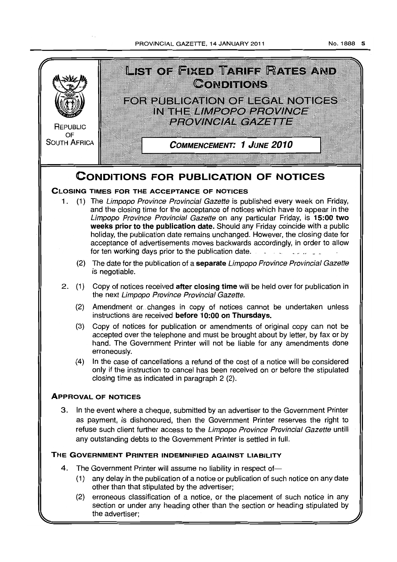# PROVINCIAL GAZETTE, 14 JANUARY 2011

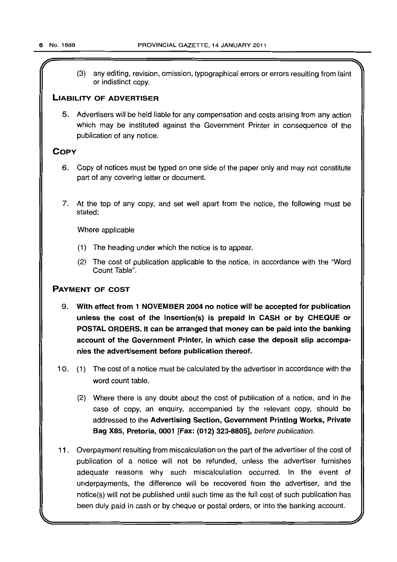$\overline{r}$  and the contract of the contract of the contract of the contract of the contract of the contract of the contract of the contract of the contract of the contract of the contract of the contract of the contract of (3) any editing, revision, omission, typographical errors or errors resulting from faint or indistinct copy.

# LIABILITY OF ADVERTISER

5. Advertisers will be held liable for any compensation and costs arising from any action which may be instituted against the Government Printer in consequence of the publication of any notice.

# **COPY**

- 6. Copy of notices must be typed on one side of the paper only and may not constitute part of any covering letter or document.
- 7. At the top of any copy, and set well apart from the notice, the following must be stated:

Where applicable

- (1) The heading under which the notice is to appear.
- (2) The cost of publication applicable to the notice, in accordance with the "Word Count Table",

# PAYMENT OF COST

- 9. With effect from 1 NOVEMBER 2004 no notice will be accepted for publication unless the cost of the insertion(s) is prepaid in CASH or by CHEQUE or POSTAL ORDERS. It can be arranged that money can be paid into the banking account of the Government Printer, in which case the deposit slip accompanies the advertisement before publication thereof.
- 10. (1) The cost of a notice must be calculated by the advertiser in accordance with the word count table.
	- (2) Where there is any doubt about the cost of publication of a notice, and in the case of copy, an enquiry, accompanied by the relevant copy, should be addressed to the Advertising Section, Government Printing Works, Private Bag X85, Pretoria, 0001 [Fax: (012) 323-8805], before publication.
- 11. Overpayment resulting from miscalculation on the part of the advertiser of the cost of publication of a notice will not be refunded, unless the advertiser furnishes adequate reasons why such miscalculation occurred. In the event of underpayments, the difference will be recovered from the advertiser, and the notice(s) will not be published until such time as the full cost of such publication has been duly paid in cash or by cheque or postal orders, or into the banking account.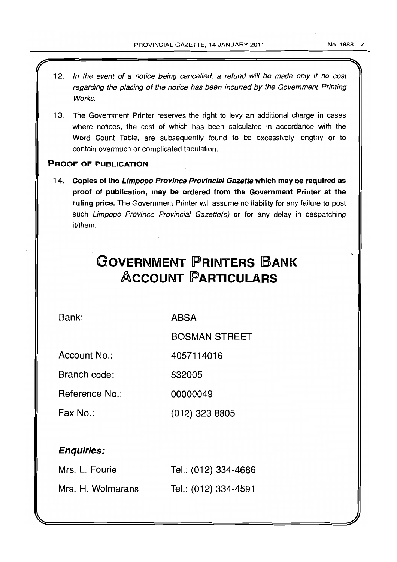- 12. In the event of a notice being cancelled, a refund will be made only if no cost regarding the placing of the notice has been incurred by the Government Printing Works.
- 13. The Government Printer reserves the right to levy an additional charge in cases where notices, the cost of which has been calculated in accordance with the Word Count Table, are subsequently found to be excessively lengthy or to contain overmuch or complicated tabulation.

# PROOF OF PUBLICATION

14. Copies of the Limpopo Province Provincial Gazette which may be required as proof of publication, may be ordered from the Government Printer at the ruling price. The Government Printer will assume no liability for any failure to post such Limpopo Province Provincial Gazette(s) or for any delay in despatching it/them.

# **GOVERNMENT PRINTERS BANK ACCOUNT PARTICULARS**

Bank:

ABSA

BOSMAN STREET

(012) 323 8805

Account No.: 4057114016

Branch code: 632005

Reference No.: 00000049

Fax No.:

# Enquiries:

| Mrs. L. Fourie    | Tel.: (012) 334-4686 |
|-------------------|----------------------|
| Mrs. H. Wolmarans | Tel.: (012) 334-4591 |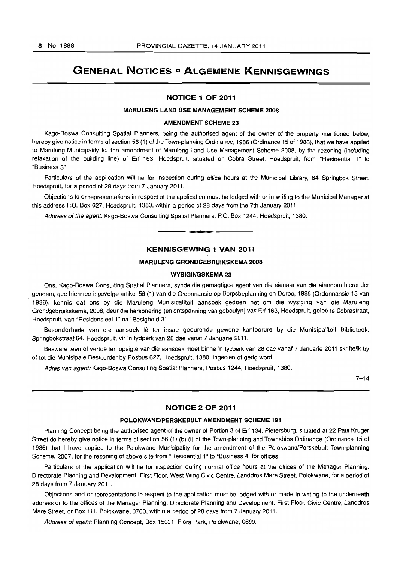# **GENERAL NOTICES 0 ALGEMENE KENNISGEWINGS**

# **NOTICE 1 OF 2011**

# **MARULENG LAND USE MANAGEMENT SCHEME 2008**

## **AMENDMENT SCHEME 23**

Kago-Boswa Consulting Spatial Planners, being the authorised agent of the owner of the property mentioned below, hereby give notice in terms of section 56 (1) of the Town-planning Ordinance, 1986 (Ordinance 15 of 1986), that we have applied to Maruleng Municipality for the amendment of Maruleng Land Use Management Scheme 2008, by the rezoning (including relaxation of the building line) of Erf 163, Hoedspruit, situated on Cobra Street, Hoedspruit, from "Residential 1» to "Business 3".

Particulars of the application will lie for inspection during office hours at the Municipal Library, 64 Springbok Street, Hoedspruit, for a period of 28 days from 7 January 2011.

Objections to or representations in respect of the application must be lodged with or in writing to the Municipal Manager at this address P.O. Box 627, Hoedspruit, 1380, within a period of 28 days from the 7th January 2011.

Address of the agent: Kago-Boswa Consulting Spatial Planners, P.O. Box 1244, Hoedspruit, 1380.

# **KENNISGEWING 1 VAN 2011**

**1-=3** 

# **MARULENG GRONDGEBRUIKSKEMA 2008**

# **WVSIGINGSKEMA 23**

Ons, Kago-Boswa Consulting Spatial Planners, synde die gemagtigde agent van die eienaar van die eiendom hieronder genoem, gee hiermee ingevolge artikel 56 (1) van die Ordonnansie op Dorpsbeplanning en Dorpe, 1986 (Ordonnansie 15 van 1986), kennis dat ons by die Maruleng Munisipaliteit aansoek gedoen het om die wysiging van die Maruleng Grondgebruikskema, 2008, deur die hersonering (en ontspanning van geboulyn) van Erf 163, Hoedspruit, gelee fe Cobrastraat, Hoedspruit, van "Residensieel 1" na "Besigheid 3".

Besonderhede van die aansoek Iê ter insae gedurende gewone kantoorure by die Munisipaliteit Biblioteek, Springbokstraat 64, Hoedspruit, vir 'n tydperk van 28 dae vanaf 7 Januarie 2011.

Besware teen of vertoë ten opsigte van die aansoek moet binne 'n tydperk van 28 dae vanaf 7 Januarie 2011 skriftelik by of tot die Munisipale Bestuurder by Posbus 627, Hoedspruit, 1380, ingedien of gerig word.

Adres van agent: Kago-Boswa Consulting Spatial Planners, Posbus 1244, Hoedspruit, 1380.

 $7 - 14$ 

## **NOTICE 2 OF 2011**

#### **POLOKWANEIPERSKEBULT AMENDMENT SCHEME 191**

Planning Concept being the authorised agent of the owner of Portion 3 of Erf 134, Pietersburg, situated at 22 Paul Kruger Street do hereby give notice in terms of section 56 (1) (b) (i) of the Town-planning and Townships Ordinance (Ordinance 15 of 1986) that I have applied to the Polokwane Municipality for the amendment of the Polokwane/Perskebult Town-planning Scheme, 2007, for the rezoning of above site from "Residential 1" to "Business 4" for offices.

Particulars of the application will lie for inspection during normal office hours at the offices of the Manager Planning: Directorate Planning and Development, First Floor, West Wing Civic Centre, Landdros Mare Street, Polokwane, for a period of 28 days from 7 January 2011.

Objections and or representations in respect to the application must be lodged with or made in writing to the underneath address or to the offices of the Manager Planning: Directorate Planning and Development, First Floor, Civic Centre, Landdros Mare Street, or Box 111, Polokwane, 0700, within a period of 28 days from 7 January 2011.

Address of agent: Planning Concept, Box 15001, Flora Park, Polokwane, 0699.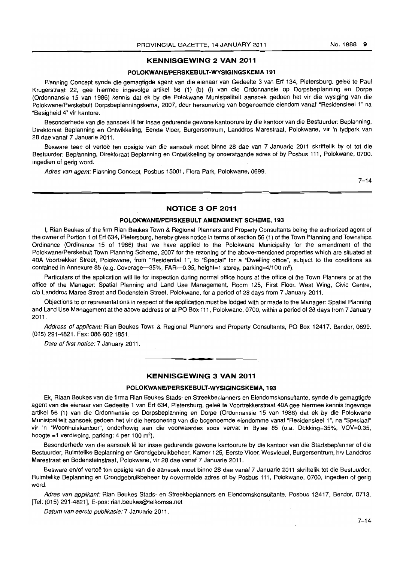#### **KENNISGEWING 2 VAN 2011**

#### POLOKWANEIPERSKEBULT~WVSIGINGSKEMA 191

Planning Concept synde die gemagtigde agent van die eienaar van Gedeelte 3 van Erf 134, Pietersburg, geleë te Paul Krugerstraat 22, gee hiermee ingevolge artikel 56 (1) (b) (i) van die Ordonnansie op Dorpsbeplanning en Dorpe (Ordonnansie 15 van 1986) kennis dat ek by die Polokwane Munisipaliteit aansoek gedoen het vir die wysiging van die Polokwane/Perskebult Dorpsbeplanningskema, 2007, deur hersonering van bogenoemde eiendom vanaf "Residensieel 1" na "Besigheid 4" vir kantore.

Besonderhede van die aansoek lê ter insae gedurende gewone kantoorure by die kantoor van die Bestuurder: Beplanning, Direktoraat Beplanning en Ontwikkeling, Eerste Vloer, Burgersentrum, Landdros Marestraat, Polokwane, vir 'n tydperk van 28 dae vanaf 7 Januarie 2011.

Besware teen of vertoe ten opsigte van die aansoek moet binne 28 dae van 7 Januarie 2011 skriftelik by of tot die Bestuurder: Beplanning, Direktoraat Beplanning en Ontwikkeling by onderstaande adres of by Posbus 111. Polokwane, 0700, ingedien of gerig word.

Adres van agent: Planning Concept, Posbus 15001, Flora Park, Polokwane, 0699.

 $7 - 14$ 

# **NOTICE 3 OF 2011**

#### **POLOKWANEIPERSKEBULT AMENDMENT** SCHEME, 193

I, Rian Beukes of the firm Rian Beukes Town & Regional Planners and Property Consultants being the authorized agent of the owner of Portion 1 of Erf 634, Pietersburg, hereby gives notice in terms of section 56 (1) of the Town Planning and Townships Ordinance (Ordinance 15 of 1986) that we have applied to the Polokwane Municipality for the amendment of the Polokwane/Perskebult Town Planning Scheme, 2007 for the rezoning of the above-mentioned properties which are situated at 40A Voortrekker Street, Polokwane, from "Residential 1", to ·Special" for a "Dwelling office", subject to the conditions as contained in Annexure 85 (e.g. Coverage—35%, FAR—0.35, height=1 storey, parking=4/100 m<sup>2</sup>).

Particulars of the application will lie for inspection during normal office hours at the office of the Town Planners or at the office of the Manager: Spatial Planning and Land Use Management, Room 125, First Floor, West Wing, Civic Centre, c/o Landdros Maree Street and Bodenstein Street, Polokwane, for a period of 28 days from 7 January 2011.

Objections to or representations in respect of the application must be lodged with or made to the Manager: Spatial Planning and Land Use Management at the above address or at PO Box 111. Polokwane, 0700, within a period of 28 days from 7 January 2011.

Address of applicant: Rian Beukes Town & Regional Planners and Property Consultants. PO Box 12417. Bendor, 0699. (015) 291-4821. Fax: 0866021851.

. **.. .** 

Date of first notice: 7 January 2011.

#### **KENNISGEWING 3 VAN 2011**

#### POLOKWANE/PERSKEBULT-WYSIGINGSKEMA, 193

Ek, Riaan Beukes van die firma Rian Beukes Stads- en Streekbeplanners en Eiendomskonsultante, synde die gemagtigde agent van die eienaar van Gedeelte 1 van Erf 634, Pietersburg, geleë te Voortrekkerstraat 40A gee hiermee kennis ingevolge artikel 56 (1) van die Ordonnansie op Dorpsbeplanning en Dorpe (Ordonnansie 15 van 1986) dat ek by die Polokwane Munisipaliteit aansoek gedoen het vir die hersonering van die bogenoemde eiendomme vanaf "Residensieel 1 ". na "Spesiaal" vir 'n "Woonhuiskantoor", onderhewig aan die voorwaardes soos vervat in Bylae 85 (o.a. Dekking=35%, VOV=0.35, hoogte =1 verdieping, parking: 4 per 100 m<sup>2</sup>).

Besonderhede van die aansoek lê ter insae gedurende gewone kantoorure by die kantoor van die Stadsbeplanner of die Bestuurder, Ruimtelike Beplanning en Grondgebruikbeheer, Kamer 125, Eerste Vloer, Wesvleuel, Burgersentrum, h/v Landdros Marestraat en Bodensteinstraat, Polokwane. vir 28 dae vanaf 7 Januarie 2011.

Besware en/of vertoë ten opsigte van die aansoek moet binne 28 dae vanaf 7 Januarie 2011 skriftelik tot die Bestuurder, Ruimtelike Beplanning en Grondgebruikbeheer by bovermelde adres of by Posbus 111. Polokwane, 0700. ingedien of gerig word.

Adres van applikant: Rian Beukes Stads- en Streekbeplanners en Eiendomskonsultante, Posbus 12417, Bendor, 0713. [Tel: (015) 291-4821], E-pos: rian.beukes@telkomsa.net

Datum van eerste publikasie: 7 Januarie 2011.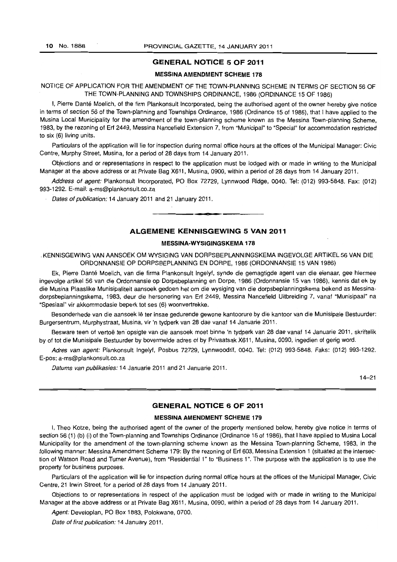# **GENERAL NOTICE 5 OF 2011**

#### MESSINA AMENDMENT **SCHEME 178**

#### NOTICE OF APPLICATION FOR THE AMENDMENT OF THE TOWN-PLANNING SCHEME IN TERMS OF SECTION 56 OF THE TOWN-PLANNING AND TOWNSHIPS ORDINANCE, 1986 (ORDINANCE 15 OF 1986)

I, Pierre Dante Moelich, of the firm Plankonsult Incorporated, being the authorised agent of the owner hereby give notice in terms of section 56 of the Town-planning and Townships Ordinance, 1986 (Ordinance 15 of 1986), that I have applied to the Musina Local Municipality for the amendment of the town-planning scheme known as the Messina Town-planning Scheme, 1983, by the rezoning of Erf 2449, Messina Nancefield Extension 7, from "Municipal" to "Special" for accommodation restricted to six (6) living units.

Particulars of the application will lie for inspection during normal office hours at the offices of the Municipal Manager: Civic Centre, Murphy Street, Musina, for a period of 28 days from 14 January 2011.

Objections and or representations in respect to the application must be lodged with or made in writing to the Municipal Manager at the above address or at Private Bag X611, Musina, 0900, within a period of 28 days from 14 January 2011.

Address of agent: Plankonsult Incorporated, PO Box 72729, Lynnwood Ridge, 0040. Tel: (012) 993-5848. Fax: (012) 993-1292. E-mail: a-ms@plankonsult.co.za

Dates of publication: 14 January 2011 and 21 January 2011.

# **ALGEMENE KENNISGEWING 5 VAN 2011**

**• e** 

# **MESSINA-WYSIGINGSKEMA 178**

. KENNISGEWING VAN AANSOEK OM WYSIGING VAN DORPSBEPLANNINGSKEMA INGEVOLGE ARTIKEL 56 VAN DIE ORDONNANSIE OP DORPSBEPLANNING EN DORPE, 1986 (ORDONNANSIE 15 VAN 1986)

Ek, Pierre Dante Moelich, van die firma Plankonsult Ingelyf, synde die gemagtigde agent van die eienaar, gee hiermee ingevolge artikel 56 van die Ordonnansie op Dorpsbeplanning en Dorpe, 1986 (Ordonnansie 15 van 1986), kennis dat ek by die Musina Plaaslike Munisipaliteit aansoek gedoen het om die wysiging van die dorpsbeplanningskema bekend as Messinadorpsbeplanningskema, 1983, deur die hersonering van Erf 2449, Messina Nancefield Uitbreiding 7, vanaf "Munisipaal" na "Spesiaal" vir akkommodasie beperk tot ses (6) woonvertrekke.

Besonderhede van die aansoek lê ter insae gedurende gewone kantoorure by die kantoor van die Munisipale Bestuurder: Burgersentrum, Murphystraat, Musina, vir 'n tydperk van 28 dae vanaf 14 Januarie 2011.

Besware teen of vertoë ten opsigte van die aansoek moet binne 'n tydperk van 28 dae vanaf 14 Januarie 2011, skriftelik by of tot die Munisipale Bestuurder by bovermelde adres of by Privaatsak X611, Musina, 0090, ingedien of gerig word.

Adres van agent: Plankonsult Ingelyf, Posbus 72729, Lynnwoodrif, 0040. Tel: (012) 993-5848. Faks: (012) 993-1292. E-pos: a-ms@plankonsult.co.za

Datums van publikasies: 14 Januarie 2011 and 21 Januarie 2011.

14-21

# **GENERAL NOTICE 6 OF 2011**

#### **MESSINA AMENDMENT SCHEME 179**

I, Theo Kotze, being the authorised agent of the owner of the property mentioned below, hereby give notice in terms of section 56 (1) (b) (i) of the Town-planning and Townships Ordinance (Ordinance 15 of 1986), that I have applied to Musina Local Municipality for the amendment of the town-planning scheme known as the Messina Town-planning Scheme, 1983, in the following manner: Messina Amendment Scheme 179: By the rezoning of Erf 603, Messina Extension 1 (situated at the intersection of Watson Road and Turner Avenue), from "Residential 1" to "Business 1". The purpose with the application is to use the property for business purposes.

Particulars of the application will lie for inspection during normal office hours at the offices of the Municipal Manager, Civic Centre, 21 Irwin Street, for a period of 28 days from 14 January 2011.

Objections to or representations in respect of the application must be lodged with or made in writing to the Municipal Manager at the above address or at Private Bag X611, Musina, 0090, within a period of 28 days from 14 January 2011.

Agent: Developlan, PO Box 1883, Polokwane, 0700.

Date of first publication: 14 January 2011.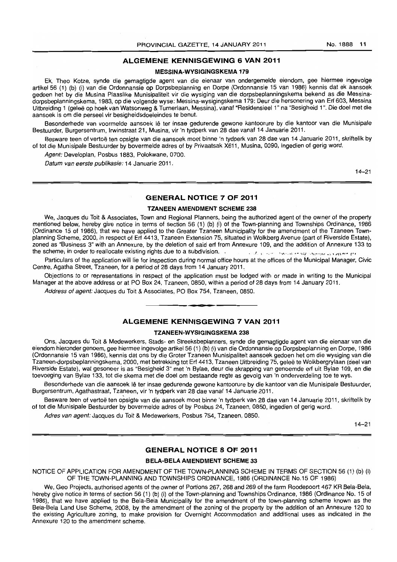# **ALGEMENE KENNISGEWING 6 VAN 2011**

#### **MESSINA-WYSIGINGSKEMA 179**

Ek. Theo Kotze, synde die gemagtigde agent van die eienaar van ondergemelde eiendom. gee hiermee ingevolge artikel 56 (1) (b) (i) van die Ordonnansie op Dorpsbeplanning en Dorpe (Ordonnansie 15 van 1986) kennis dat ek aansoek gedoen het by die Musina Plaaslike Munisipaliteit vir die wysiging van die dorpsbeplanningskema bekend as die Messinadorpsbeplanningskema. 1983, op die volgende wyse: Messina-wysigingskema 179: Deur die hersonering van Ert 603, Messina Uitbreiding 1 (geleë op hoek van Watsonweg & Turnerlaan, Messina), vanaf "Residensieel 1" na "Besigheid 1". Die doel met die aansoek is am die perseel vir besigheidsdoeleindes te benut.

Besonderhede van voormelde aansoek lê ter insae gedurende gewone kantoorure by die kantoor van die Munisipale Bestuurder, Burgersentrum, Irwinstraat 21, Musina, vir 'n tydperk van 28 dae vanaf 14 Januarie 2011.

Besware teen of vertoë ten opsigte van die aansoek moet binne 'n tydperk van 28 dae van 14 Januarie 2011, skriftelik by of tot die Munisipale Bestuurder by bovermelde adres of by Privaatsak X611, Musina, 0090, ingedien of gerig word.

Agent: Developlan. Posbus 1883, Polokwane, 0700.

Datum van eerste publikasie: 14 Januarie 2011.

14-21

# **GENERAL NOTICE 7 OF 2011**

#### **TZANEEN AMENDMENT SCHEME 238**

We, Jacques du Toit & Associates, Town and Regional Planners, being the authorized agent of the owner of the property mentioned below, hereby give notice in terms of section 56 (1) (b) (i) of the Town-planning and Townships Ordinance, 1986 (Ordinance 15 of 1986), that we have applied to the Greater Tzaneen Municipality for the amendment of the Tzaneen Townplanning Scheme, 2000. in respect of Ert 4413. Tzaneen Extension 75. situated in Wolkberg Avenue (part of Riverside Estate). zoned as "Business 3" with an Annexure. by the deletion of said ert from Annexure 109, and the addition of Annexure 133 to the scheme; in order to reallocate existing rights due to a subdivision.

Particulars of the application will lie for inspection during normal office hours at the offices of the Municipal Manager, Civic Centre, Agatha Street, Tzaneen, for a period of 28 days from 14 January 2011,

Objections to or representations in respect of the application must be lodged with or made in writing to the Municipal Manager at the above address or at PO Box 24, Tzaneen, 0850, within a period of 28 days from 14 January 2011.

Address of agent: Jacques du Toit & Associates. PO Box 754, Tzaneen, 0850.

### **ALGEMENE KENNISGEWING 7 VAN 2011**

• **iiiII:lL •** 

#### **TZANEEN-WVSIGINGSKEMA 238**

Ons, Jacques du Toil & Medewerkers, Stads- en Streeksbeplanners, synde die gemagtigde agent van die eienaar van die eiendom hieronder genoem, gee hiermee ingevolge artikel 56 (1) (b) (i) van die Ordonnansie op Dorpsbeplanning en Dorpe. 1986 (Ordonnansie 15 van 1986), kennis dat ons by die Groler Tzaneen Munisipaliteit aansoek gedoen het om die wysiging van die Tzaneen-dorpsbeplanningskema. 2000, met betrekking tot Ert 4413, Tzaneen Uitbreiding 75, gelee te Wolkbergrylaan (dee I van Riverside Estate), wat gesoneer is as "Besigheid 3" met 'n Bylae, deur die skrapping van genoemde ert uit Bylae 109, en die toevoeging van Bylae 133. tot die skema met die doel om bestaande regte as gevolg van 'n onderverdeling toe te wys.

Besonderhede van die aansoek lê ter insae gedurende gewone kantoorure by die kantoor van die Munisipale Bestuurder, Burgersentrum, Agathastraat, Tzaneen, vir 'n tydperk van 28 dae vanaf 14 Januarie 2011.

Besware teen of vertoë ten opsigte van die aansoek moet binne 'n tydperk van 28 dae van 14 Januarie 2011, skriftelik by of tot die Munisipale Bestuurder by bovermelde adres of by Posbus 24, Tzaneen, 0850, ingedien of gerig word.

Adres van agent: Jacques du Toit & Medewerkers, Posbus 754, Tzaneen, 0850.

14-21

# **GENERAL NOTICE 8 OF 2011**

#### **BELA-BELA AMENDMENT SCHEME 33**

NOTICE OF APPLICATION FOR AMENDMENT OF THE TOWN-PLANNING SCHEME IN TERMS OF SECTION 56 (1) (b) (i) OF THE TOWN-PLANNING AND TOWNSHIPS ORDINANCE, 1986 (ORDINANCE No.15 OF 1986)

We, Geo Projects, authorised agents of the owner of Portions 267, 268 and 269 of the farm Roodepoort 467 KR Bela-Bela, hereby give notice in terms of section 56 (1) (b) (i) of the Town-planning and Townships Ordinance, 1986 (Ordinance No. 15 of 1986), that we have applied to the Bela-Bela Municipality for the amendment of the town-planning scheme known as the Bela-Bela Land Use Scheme, 2008, by the amendment of the zoning of the property by the addition of an Annexure 120 to the existing Agriculture zoning, 10 make provision for Overnight Accommodation and additional uses as indicated in the Annexure 120 to the amendment scheme.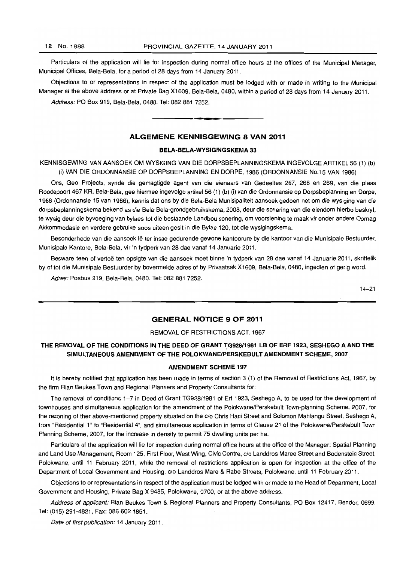Particulars of the application will lie for inspection during normal office hours at the offices of the Municipal Manager, Municipal Offices, Bela-Bela, for a period of 28 days from 14 January 2011.

Objections to or representations in respect of the application must be lodged with or made in writing to the Municipal Manager at the above address or at Private Bag X1609, Bela-Bela, 0480, within a period of 28 days from 14 January 2011. Address: PO Box 919, Bela-Bela, 0480, Tel: 082 881 7252.

. **.. .** 

# ALGEMENE KENNISGEWING 8 VAN 2011

#### BELA-BELA-WYSIGINGSKEMA 33

KENNISGEWING VAN AANSOEK OM WYSIGING VAN DIE DORPSBEPLANNINGSKEMA INGEVOLGE ARTIKEL 56 (1) (b) (i) VAN DIE ORDONNANSIE OP DORPSBEPLANNING EN DORPE, 1986 (ORDONNANSIE No.15 VAN 1986)

Ons, Geo Projects, synde die gemagtigde agent van die eienaars van Gedeeltes 267, 268 en 269, van die plaas Roodepoort 467 KR, Bela-Bela, gee hiermee ingevolge artikel 56 (1) (b) (i) van die Ordonnansie op Dorpsbeplanning en Dorpe, 1986 (Ordonnansie 15 van 1986), kennis dat ons by die Bela-Bela Munisipaliteit aansoek gedoen het om die wysiging van die dorpsbeplanningskema bekend as die Bela-Bela-grondgebruikskema, 2008, deur die sonering van die eiendom hierbo beskryf, te wysig deur die byvoeging van bylaes tot die bestaande Landbou sonering, om voorsiening te maak vir onder andere Oornag Akkommodasie en verdere gebruike soos uiteen gesit in die Bylae 120, tot die wysigingskema.

Besonderhede van die aansoek lê ter insae gedurende gewone kantoorure by die kantoor van die Munisipale Bestuurder, Munisipale Kanlore, Bela-Bela, vir 'n tydperk van 28 dae vanaf 14 Januarie 2011.

Besware teen of vertoë ten opsigte van die aansoek moet binne 'n tydperk van 28 dae vanaf 14 Januarie 2011, skriftelik by of tot die Munisipale Bestuurder by bovermelde adres of by Privaatsak X1609, Bela-Bela, 0480, ingedien of gerig word.

Adres: Posbus 919, Bela-Bela, 0480. Tel: 082 881 7252.

14-21

# GENERAL NOTICE 9 OF 2011

#### REMOVAL OF RESTRICTIONS ACT, 1967

# THE REMOVAL OF THE CONDITIONS IN THE DEED OF GRANT *"!G928/1981* LB OF ERF 1923, SESHEGO A AND THE SIMULTANEOUS AMENDMENT OF THE POLOKWANE/PERSKEBULT AMENDMENT SCHEME, 2007

#### AMENDMENT SCHEME 197

It is hereby notified that application has been made in terms of section 3 (1) of the Removal of Restrictions Act, 1967, by the firm Rian Beukes Town and Regional Planners and Property Consultants for:

The removal of conditions 1-7 in Deed of Grant TG928/1981 of Erf 1923, Seshego A, to be used for the development of townhouses and simultaneous application for the amendment of the Polokwane/Perskebult Town-planning Scheme, 2007, for the rezoning of ther above-mentioned property situated on the c/o Chris Hani Street and Solomon Mahlangu Street, Seshego A, from "Residential 1" to "Residential 4", and simultaneous application in terms of Clause 21 of the Polokwane/Perskebult Town Planning Scheme, 2007, for the increase in density to permit 75 dwelling units per ha.

Particulars of the application will lie for inspection during normal office hours at the office of the Manager: Spatial Planning and Land Use Management. Room 125, First Floor, West Wing, Civic Centre, c/o Landdros Maree Street and Bodenstein Street, Polokwane, until 11 February 2011, while the removal of restrictions application is open for inspection at the office of the Department of Local Government and Housing, c/o Landdros Mare & Rabe Streets, Polokwane, until 11 February 2011.

Objections to or representations in respect of the application must be lodged with or made to the Head of Department, Local Government and Housing, Private Bag X 9485, Polokwane, 0700, or at the above address.

Address of applicant: Rian Beukes Town & Regional Planners and Property Consultants, PO Box 12417, Bendor, 0699. Tel: (015) 291-4821, Fax: 0866021851.

Date of first publication: 14 January 2011.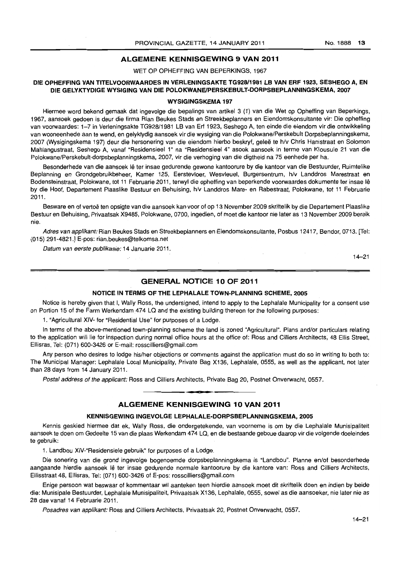#### **ALGEMENE KENNISGEWING 9 VAN 2011**

WET OP OPHEFFING VAN BEPERKINGS, 1967

#### **DIE OPHEFFING VAN TITELVOORWAARDES IN VERLENINGSAKTE TG92811981 LB VAN ERF 1923, SESHEGO A, EN DIE GELYKTYDIGE WYSIGING VAN DIE POLOKWANEIPERSKEBULT-DORPSBEPLANNINGSKEMA, 2007**

#### **WYSIGINGSKEMA 197**

Hiermee word bekend gemaak dat ingevolge die bepalings van artikel 3 (1) van die Wet op Opheffing van Beperkings, 1967, aansoek gedoen is deur die firma Rian Beukes Stads en Streekbeplanners en Eiendomskonsultante vir: Die opheffing van voorwaardes: 1-7 in Verleningsakte TG928/1981 LB van Erf 1923, Seshego A, ten einde die eiendom vir die ontwikkeling van wooneenhede aan te wend, en gelyktydig aansoek vir die wysiging van die Polokwane/Perskebult Dorpsbeplanningskema, 2007 (Wysigingskema 197) deur die hersonering van die eiendom hierbo beskryf, gelee te h/v Chris Hanistraat en Solomon Mahlangustraat, Seshego A, vanat "Residensieel 1" na "Residensieel 4" asook aansoek in terme van Klousule 21 van die Polokwane/Perskebult-dorpsbeplanningskema, 2007, vir die verhoging van die digtheid na 75 eenhede per ha.

Besonderhede van die aansoek lê ter insae gedurende gewone kantoorure by die kantoor van die Bestuurder, Ruimtelike Beplanning en Grondgebruikbeheer, Kamer 125, Eerstevloer, Wesvleuel, Burgersentrum, hlv Landdros Marestraat en Bodensteinstraat, Polokwane, tot 11 Februarie 2011, terwyl die opheffing van beperkende voorwaardes dokumente ter insae Ie by die Hoof, Departement Plaaslike Bestuur en Behuising, h/v Landdros Mare- en Rabestraat, Polokwane, tot 11 Februarie 2011.

Besware en of vertoë ten opsigte van die aansoek kan voor of op 13 November 2009 skriftelik by die Departement Plaaslike Bestuur en Behuising, Privaatsak X9485, Polokwane, 0700, ingedien, of moet die kantoor nie later as 13 November 2009 bereik nie.

Adres van applikant: Rian Beukes Stads en Streekbeplanners en Eiendomskonsultante, Posbus 12417, Bendor, 0713. [Tel: (015) 291-4821.J E-pos: rian.beukes@telkomsa.net

Datum van eerste publikasie: 14 Januarie 2011.

14-21

# **GENERAL NOTICE 10 OF 2011**

#### **NOTICE IN TERMS OF THE LEPHALALE TOWN-PLANNING SCHEME, 2005**

Notice is hereby given that I, Wally Ross, the undersigned, intend to apply to the Lephalale Municipality for a consent use on Portion 15 of the Farm Werkendam 474 LQ and the existing building thereon for the following purposes:

1. "Agricultural XIV- for "Residential Use" for purposes of a Lodge.

In terms of the above-mentioned town-planning scheme the land is zoned "Agricultural". Plans and/or particulars relating to the application will lie for inspection during normal office hours at the office of: Ross and Cilliers Architects, 48 Ellis Street. Ellisras, Tel: (071) 600-3426 or E-mail: rosscilliers@gmail.com

Any person who desires to lodge his/her objections or comments against the application must do so in writing to both to: The Municipal Manager: Lephalale Local Municipality, Private Bag X136, Lephalale, 0555, as well as the applicant, not later than 28 days from 14 January 2011.

Postal address of the applicant: Ross and Cilliers Architects, Private Bag 20, Postnet Onverwacht, 0557.

# • **a • ALGEMENE KENNISGEWING 10 VAN 2011**

#### **KENNISGEWING INGEVOLGE LEPHALALE-DORPSBEPLANNINGSKEMA, 2005**

Kennis geskied hiermee dat ek, Wally Ross, die ondergetekende, van voorneme is am by die Lephalale Munisipaliteit aansoek te doen om Gedeelte 15 van die plaas Werkendam 474 LQ, en die bestaande geboue daarop vir die volgende doeleindes te gebruik:

1. Landbou XIV-"Residensiele gebruik" for purposes of a Lodge.

Die sonering van die grond ingevolge bogenoemde dorpsbeplanningskema is "Landbou". Planne en/of besonderhede aangaande hierdie aansoek lê ter insae gedurende normale kantoorure by die kantore van: Ross and Cilliers Architects, Ellisstraat 48, Ellisras, Tel: (071) 600-3426 of E-pos: rosscilliers@gmail.com

Enige persoon wat beswaar of kommentaar wil aanteken teen hierdie aansoek moet dit skriftelik doen en indien by beide die: Munisipale Bestuurder, Lephalale Munisipaliteit, Privaatsak X136, Lephalale, 0555, sowel as die aansoeker, nie later nie as 28 dae vanaf 14 Februarie 2011.

Posadres van applikant: Ross and Cilliers Architects, Privaatsak 20, Postnet Onverwacht, 0557.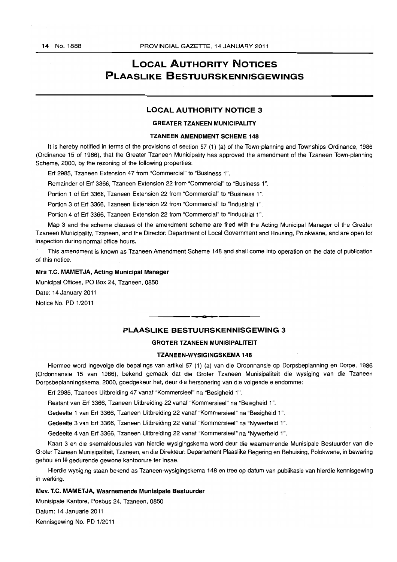# **LOCAL AUTHORITY NOTICES PLAASLIKE BeSTUURSKENNISGEWINGS**

#### LOCAL AUTHORITY NOTICE 3

#### GREATER TZANEEN MUNICIPALITY

#### TZANEEN AMENDMENT SCHEME 148

It is hereby notified in terms of the provisions of section 57 (1) (a) of the Town-planning and Townships Ordinance, 1986 (Ordinance 15 of 1986), that the Greater Tzaneen Municipality has approved the amendment of the Tzaneen Town-planning Scheme, 2000, by the rezoning of the following properties;

Erf 2985, Tzaneen Extension 47 from "Commercial" to "Business 1".

Remainder of Erf 3366, Tzaneen Extension 22 from "Commercial" to "Business 1".

Portion 1 of Erf 3366, Tzaneen Extension 22 from "Commercial" to "Business 1".

Portion 3 of Erf 3366, Tzaneen Extension 22 from "Commercial" to "Industrial 1".

Portion 4 of Erf 3366, Tzaneen Extension 22 from "Commercial" to "Industrial 1".

Map 3 and the scheme clauses of the amendment scheme are filed with the Acting Municipal Manager of the Greater Tzaneen Municipality, Tzaneen, and the Director: Department of Local Government and Housing, Polokwane, and are open for inspection during normal office hours.

This amendment is known as Tzaneen Amendment Scheme 148 and shall come into operation on the date of publication of this notice.

#### Mrs T.C. MAMETJA, Acting Municipal Manager

Municipal Offices, PO Box 24, Tzaneen, 0850

Date: 14 January 2011

Notice No. PD 1/2011

## PLAASLIKE BESTUURSKENNISGEWING 3

**CIE •** 

#### GROTER TZANEEN MUNISIPALITEIT

#### TZANEEN-WYSIGINGSKEMA 148

Hiermee word ingevolge die bepalings van artikel 57 (1) (a) van die Ordonnansie op Dorpsbeplanning en Dorpe, 1986 (Ordonnansie 15 van 1986), bekend gemaak dat die Groter Tzaneen Munisipaliteit die wysiging van die Tzaneen Dorpsbeplanningskema, 2000, goedgekeur het, deur die hersonering van die volgende eiendomme:

Erf 2985, Tzaneen Uitbreiding 47 vanaf "Kommersieel" na "Besigheid 1",

Restant van Erf 3366, Tzaneen Uitbreiding 22 vanaf "Kommersieel" na "Besigheid 1".

Gedeelte 1 van Erf 3366, Tzaneen Uitbreiding 22 vanaf "Kommersieel" na "Besigheid 1".

Gedeelte 3 van Erf 3366, Tzaneen Uitbreiding 22 vanaf "Kommersieel" na "Nywerheid 1".

Gedeelte 4 van Erf 3366, Tzaneen Uitbreiding 22 vanaf "Kommersieel" na "Nywerheid 1",

Kaart 3 en die skemaklousules van hierdie wysigingskema word deur die waarnemende Munisipale Bestuurder van die Grater Tzaneen Munisipaliteit, Tzaneen, en die Direkteur: Departement Plaaslike Regering en Behuising, Polokwane, in bewaring gehou en lê gedurende gewone kantoorure ter insae.

Hierdie wysiging staan bekend as Tzaneen-wysigingskema 148 en tree op datum van publikasie van hierdie kennisgewing in werking.

#### Mev. T.C. MAMET JA, Waarnemende Munisipale Bestuurder

Munisipale Kantore, Posbus 24, Tzaneen, 0850

Datum: 14 Januarie 2011

Kennisgewing No. PD 1/2011